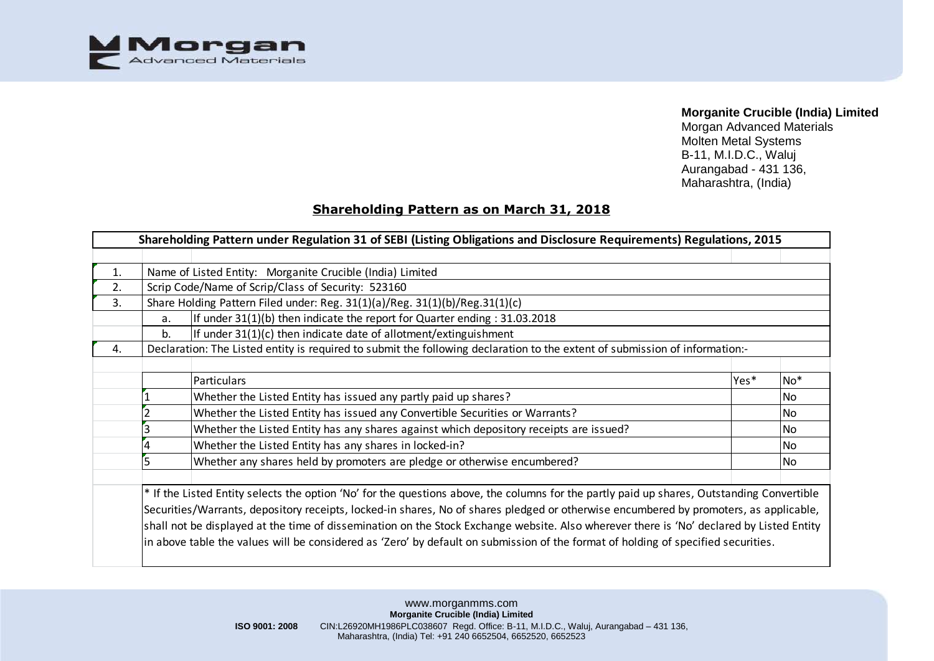

Morgan Advanced Materials Molten Metal Systems B-11, M.I.D.C., Waluj Aurangabad - 431 136, Maharashtra, (India)

# **Shareholding Pattern as on March 31, 2018**

|    |                                                                                    | Shareholding Pattern under Regulation 31 of SEBI (Listing Obligations and Disclosure Requirements) Regulations, 2015                       |      |       |  |  |  |  |  |  |  |  |  |  |  |
|----|------------------------------------------------------------------------------------|--------------------------------------------------------------------------------------------------------------------------------------------|------|-------|--|--|--|--|--|--|--|--|--|--|--|
|    |                                                                                    |                                                                                                                                            |      |       |  |  |  |  |  |  |  |  |  |  |  |
| 1. |                                                                                    | Name of Listed Entity: Morganite Crucible (India) Limited                                                                                  |      |       |  |  |  |  |  |  |  |  |  |  |  |
| 2. |                                                                                    | Scrip Code/Name of Scrip/Class of Security: 523160                                                                                         |      |       |  |  |  |  |  |  |  |  |  |  |  |
| 3. | Share Holding Pattern Filed under: Reg. 31(1)(a)/Reg. 31(1)(b)/Reg.31(1)(c)        |                                                                                                                                            |      |       |  |  |  |  |  |  |  |  |  |  |  |
|    | If under $31(1)(b)$ then indicate the report for Quarter ending : 31.03.2018<br>a. |                                                                                                                                            |      |       |  |  |  |  |  |  |  |  |  |  |  |
|    | b.                                                                                 | If under 31(1)(c) then indicate date of allotment/extinguishment                                                                           |      |       |  |  |  |  |  |  |  |  |  |  |  |
| 4. |                                                                                    | Declaration: The Listed entity is required to submit the following declaration to the extent of submission of information:-                |      |       |  |  |  |  |  |  |  |  |  |  |  |
|    |                                                                                    |                                                                                                                                            |      |       |  |  |  |  |  |  |  |  |  |  |  |
|    |                                                                                    | Particulars                                                                                                                                | Yes* | $No*$ |  |  |  |  |  |  |  |  |  |  |  |
|    |                                                                                    | Whether the Listed Entity has issued any partly paid up shares?                                                                            |      | l No  |  |  |  |  |  |  |  |  |  |  |  |
|    |                                                                                    | Whether the Listed Entity has issued any Convertible Securities or Warrants?                                                               |      |       |  |  |  |  |  |  |  |  |  |  |  |
|    |                                                                                    | Whether the Listed Entity has any shares against which depository receipts are issued?                                                     |      | No    |  |  |  |  |  |  |  |  |  |  |  |
|    |                                                                                    | Whether the Listed Entity has any shares in locked-in?                                                                                     |      | No    |  |  |  |  |  |  |  |  |  |  |  |
|    |                                                                                    | Whether any shares held by promoters are pledge or otherwise encumbered?                                                                   |      | l No  |  |  |  |  |  |  |  |  |  |  |  |
|    |                                                                                    |                                                                                                                                            |      |       |  |  |  |  |  |  |  |  |  |  |  |
|    |                                                                                    | * If the Listed Entity selects the option 'No' for the questions above, the columns for the partly paid up shares, Outstanding Convertible |      |       |  |  |  |  |  |  |  |  |  |  |  |
|    |                                                                                    | Securities/Warrants, depository receipts, locked-in shares, No of shares pledged or otherwise encumbered by promoters, as applicable,      |      |       |  |  |  |  |  |  |  |  |  |  |  |
|    |                                                                                    | shall not be displayed at the time of dissemination on the Stock Exchange website. Also wherever there is 'No' declared by Listed Entity   |      |       |  |  |  |  |  |  |  |  |  |  |  |
|    |                                                                                    | in above table the values will be considered as 'Zero' by default on submission of the format of holding of specified securities.          |      |       |  |  |  |  |  |  |  |  |  |  |  |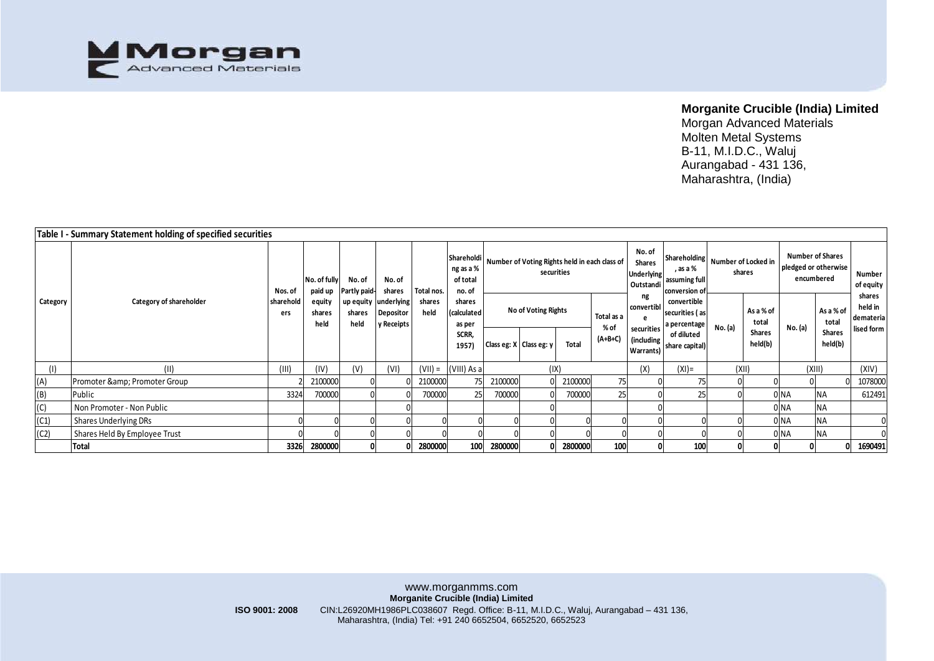

|          | Table I - Summary Statement holding of specified securities |         |                          |                        |                                                 |                |                                               |         |                                                             |              |                    |                                                           |                                                                                  |         |                    |                                                               |                          |                                              |
|----------|-------------------------------------------------------------|---------|--------------------------|------------------------|-------------------------------------------------|----------------|-----------------------------------------------|---------|-------------------------------------------------------------|--------------|--------------------|-----------------------------------------------------------|----------------------------------------------------------------------------------|---------|--------------------|---------------------------------------------------------------|--------------------------|----------------------------------------------|
| Category |                                                             | Nos. of | No. of fully<br>paid up  | No. of<br>Partly paid- | No. of<br>shares                                | Total nos.     | Shareholdi<br>ng as a %<br>of total<br>no. of |         | Number of Voting Rights held in each class of<br>securities |              |                    | No. of<br><b>Shares</b><br><b>Underlying</b><br>Outstandi | Shareholding   Number of Locked in<br>, as a %<br>assuming full<br>conversion of |         | shares             | <b>Number of Shares</b><br>pledged or otherwise<br>encumbered |                          | Number<br>of equity                          |
|          | Category of shareholder<br>sharehold                        |         | equity<br>shares<br>held | shares<br>held         | up equity underlying<br>Depositor<br>y Receipts | shares<br>held | shares<br>calculated<br>as per                |         | No of Voting Rights                                         |              | Total as a<br>% of | ng<br>convertibl<br>securities                            | convertible<br>securities (as<br>a percentage                                    | No. (a) | As a % of<br>total | No. (a)                                                       | As a % of<br>total       | shares<br>held in<br>demateria<br>lised form |
|          |                                                             |         |                          |                        |                                                 |                | SCRR.<br>1957)                                |         | Class eg: X Class eg: y                                     | <b>Total</b> | $(A+B+C)$          | (including)<br>Warrants)                                  | of diluted<br>share capital)                                                     |         | Shares<br>held(b)  |                                                               | <b>Shares</b><br>held(b) |                                              |
| (1)      | (11)                                                        | (III)   | (IV)                     | (V)                    | (VI)                                            | $(VII) =$      | (VIII) As a                                   |         |                                                             | (IX)         |                    | (X)<br>$(XI) =$                                           |                                                                                  | (XII)   |                    | (XIII)                                                        |                          | (XIV)                                        |
| (A)      | Promoter & Promoter Group                                   |         | 2100000                  |                        |                                                 | 2100000        |                                               | 2100000 |                                                             | 2100000      | 75                 |                                                           | 75                                                                               |         |                    |                                                               |                          | 1078000                                      |
| (B)      | Public                                                      | 3324    | 700000                   |                        |                                                 | 700000         | 25                                            | 700000  |                                                             | 700000       | 25                 |                                                           | 25                                                                               |         |                    | ) NA                                                          | <b>NA</b>                | 612491                                       |
| (C)      | Non Promoter - Non Public                                   |         |                          |                        |                                                 |                |                                               |         |                                                             |              |                    |                                                           |                                                                                  |         |                    | ) NA                                                          | <b>NA</b>                |                                              |
| (C1)     | Shares Underlying DRs                                       |         |                          |                        |                                                 |                |                                               |         |                                                             |              |                    |                                                           |                                                                                  |         |                    | 0 NA                                                          | <b>NA</b>                |                                              |
| (C2)     | Shares Held By Employee Trust                               |         |                          |                        |                                                 |                |                                               |         |                                                             |              |                    |                                                           |                                                                                  |         |                    | INA                                                           | <b>NA</b>                |                                              |
|          | <b>Total</b>                                                | 3326    | 2800000                  |                        |                                                 | 2800000        | 100                                           | 2800000 | 01                                                          | 2800000      | 100                |                                                           | 100                                                                              | 0       |                    | 01                                                            | 01                       | 1690491                                      |
|          |                                                             |         |                          |                        |                                                 |                |                                               |         |                                                             |              |                    |                                                           |                                                                                  |         |                    |                                                               |                          |                                              |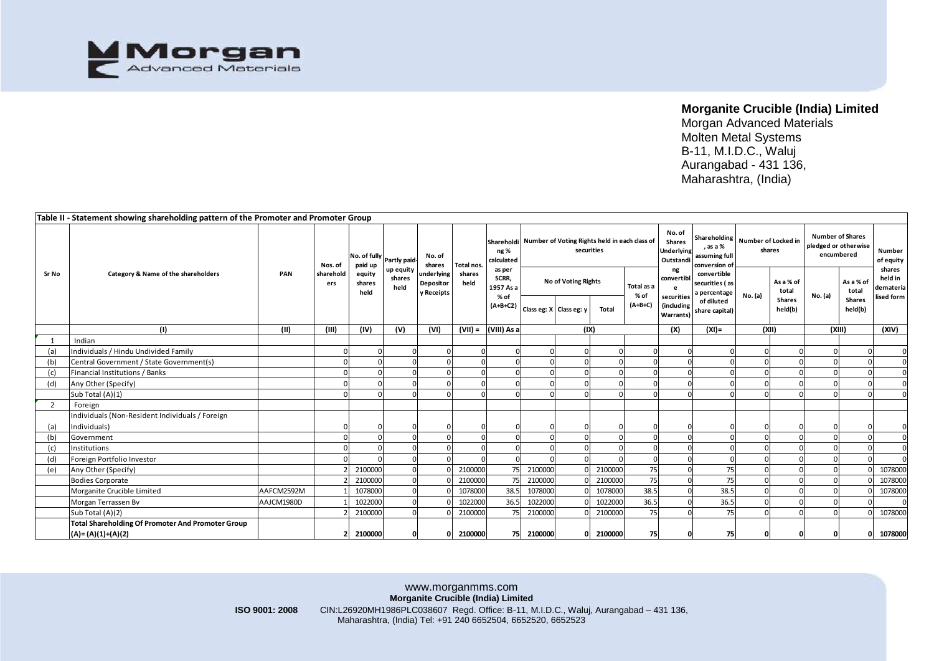

|                | Table II - Statement showing shareholding pattern of the Promoter and Promoter Group |            |                  |                                      |                             |                                                           |                              |                                                                                                                                      |                     |                           |            |                    |                                                           |                                               |                                              |                          |                                                               |                          |                                              |
|----------------|--------------------------------------------------------------------------------------|------------|------------------|--------------------------------------|-----------------------------|-----------------------------------------------------------|------------------------------|--------------------------------------------------------------------------------------------------------------------------------------|---------------------|---------------------------|------------|--------------------|-----------------------------------------------------------|-----------------------------------------------|----------------------------------------------|--------------------------|---------------------------------------------------------------|--------------------------|----------------------------------------------|
|                |                                                                                      |            | Nos. of          | No. of fully Partly paid-<br>paid up |                             | No. of<br>shares<br>underlying<br>Depositor<br>y Receipts | Total nos.<br>shares<br>held | Shareholdi Number of Voting Rights held in each class of<br>ng %<br>calculated<br>as per<br>SCRR,<br>1957 As a<br>% of<br>$(A+B+C2)$ |                     |                           | securities |                    | No. of<br><b>Shares</b><br><b>Underlying</b><br>Outstandi | , as a %<br>assuming full<br>conversion of    | Shareholding   Number of Locked in<br>shares |                          | <b>Number of Shares</b><br>pledged or otherwise<br>encumbered |                          | Number<br>of equity                          |
| Sr No          | Category & Name of the shareholders                                                  | PAN        | sharehold<br>ers | equity<br>shares<br>held             | up equity<br>shares<br>held |                                                           |                              |                                                                                                                                      | No of Voting Rights |                           |            | Total as a<br>% of | ng<br>convertib<br>securities                             | convertible<br>securities (as<br>a percentage | As a % of<br>total<br>No. (a)                |                          | No. (a)                                                       | As a % of<br>total       | shares<br>held in<br>demateria<br>lised form |
|                |                                                                                      |            |                  |                                      |                             |                                                           |                              |                                                                                                                                      |                     | Class eg: X   Class eg: y | Total      | $(A+B+C)$          | (including<br>Warrants)                                   | of diluted<br>share capital)                  |                                              | <b>Shares</b><br>held(b) |                                                               | <b>Shares</b><br>held(b) |                                              |
|                | (1)                                                                                  | (11)       | (III)            | (IV)                                 | (V)                         | (VI)                                                      | $(VII) =$                    | (VIII) As a                                                                                                                          |                     | (IX)                      |            |                    | (X)                                                       | $(XI) =$                                      | (XII)                                        |                          | (XIII)                                                        |                          | (XIV)                                        |
|                | Indian                                                                               |            |                  |                                      |                             |                                                           |                              |                                                                                                                                      |                     |                           |            |                    |                                                           |                                               |                                              |                          |                                                               |                          |                                              |
| (a)            | Individuals / Hindu Undivided Family                                                 |            |                  |                                      |                             |                                                           | $\Omega$                     |                                                                                                                                      |                     |                           | $\Omega$   |                    |                                                           |                                               |                                              |                          | $\Omega$                                                      |                          |                                              |
| (b)            | Central Government / State Government(s)                                             |            |                  |                                      |                             |                                                           |                              |                                                                                                                                      |                     |                           |            |                    |                                                           |                                               |                                              |                          |                                                               |                          |                                              |
| (c)            | Financial Institutions / Banks                                                       |            |                  |                                      |                             |                                                           |                              |                                                                                                                                      |                     |                           |            |                    |                                                           |                                               |                                              |                          | $\Omega$                                                      |                          |                                              |
| (d)            | Any Other (Specify)                                                                  |            |                  |                                      |                             |                                                           |                              |                                                                                                                                      |                     |                           |            |                    |                                                           |                                               |                                              |                          | $\Omega$                                                      |                          |                                              |
|                | Sub Total (A)(1)                                                                     |            |                  |                                      |                             |                                                           |                              |                                                                                                                                      |                     |                           |            |                    |                                                           |                                               |                                              |                          |                                                               |                          |                                              |
| $\overline{2}$ | Foreign                                                                              |            |                  |                                      |                             |                                                           |                              |                                                                                                                                      |                     |                           |            |                    |                                                           |                                               |                                              |                          |                                                               |                          |                                              |
|                | Individuals (Non-Resident Individuals / Foreign                                      |            |                  |                                      |                             |                                                           |                              |                                                                                                                                      |                     |                           |            |                    |                                                           |                                               |                                              |                          |                                                               |                          |                                              |
| (a)            | Individuals)                                                                         |            |                  |                                      |                             |                                                           |                              |                                                                                                                                      |                     |                           |            |                    |                                                           |                                               |                                              |                          |                                                               |                          |                                              |
| (b)            | Government                                                                           |            |                  |                                      |                             |                                                           |                              |                                                                                                                                      |                     |                           |            |                    |                                                           |                                               |                                              |                          |                                                               |                          |                                              |
| (c)            | Institutions                                                                         |            |                  |                                      |                             |                                                           |                              |                                                                                                                                      |                     |                           |            |                    |                                                           |                                               |                                              |                          |                                                               |                          |                                              |
| (d)            | Foreign Portfolio Investor                                                           |            |                  |                                      |                             |                                                           |                              |                                                                                                                                      |                     |                           |            |                    |                                                           |                                               |                                              |                          | $\Omega$                                                      |                          |                                              |
| (e)            | Any Other (Specify)                                                                  |            |                  | 2100000                              |                             |                                                           | 2100000                      | 75                                                                                                                                   | 2100000             |                           | 2100000    | 75                 |                                                           | 75                                            |                                              |                          | $\Omega$                                                      |                          | 1078000                                      |
|                | <b>Bodies Corporate</b>                                                              |            |                  | 2100000                              |                             |                                                           | 2100000                      | 75                                                                                                                                   | 2100000             |                           | 2100000    | 75                 |                                                           | 75                                            |                                              |                          |                                                               |                          | 1078000                                      |
|                | Morganite Crucible Limited                                                           | AAFCM2592M |                  | 1078000                              |                             |                                                           | 1078000                      | 38.5                                                                                                                                 | 1078000             |                           | 1078000    | 38.5               |                                                           | 38.5                                          |                                              |                          |                                                               |                          | 1078000                                      |
|                | Morgan Terrassen Bv                                                                  | AAJCM1980D |                  | 1022000                              |                             |                                                           | 1022000                      | 36.5                                                                                                                                 | 1022000             |                           | 1022000    | 36.5               |                                                           | 36.5                                          |                                              |                          |                                                               |                          |                                              |
|                | Sub Total (A)(2)                                                                     |            |                  | 2100000                              |                             |                                                           | 2100000                      | 75                                                                                                                                   | 2100000             |                           | 2100000    | 75                 |                                                           | 75                                            |                                              |                          |                                                               |                          | 1078000                                      |
|                | <b>Total Shareholding Of Promoter And Promoter Group</b>                             |            |                  |                                      |                             |                                                           |                              |                                                                                                                                      |                     |                           |            |                    |                                                           |                                               |                                              |                          |                                                               |                          |                                              |
|                | $(A) = (A)(1)+(A)(2)$                                                                |            |                  | 2100000                              | 0                           |                                                           | 2100000                      |                                                                                                                                      | 75 2100000          |                           | 2100000    | 75                 |                                                           | 75                                            |                                              | 0                        |                                                               |                          | 1078000                                      |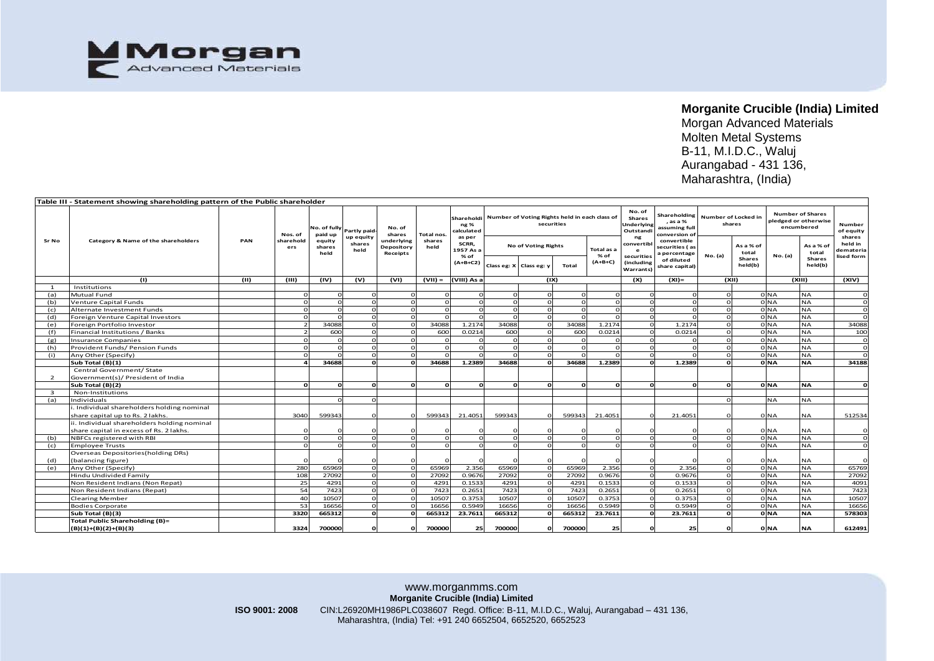

|              |                                                                              |      |              |                         |                |                      |              |                    |                                                             |                         |            |            |                         |                                |                               | Maharashtra, (India)   |                      |                         |              |
|--------------|------------------------------------------------------------------------------|------|--------------|-------------------------|----------------|----------------------|--------------|--------------------|-------------------------------------------------------------|-------------------------|------------|------------|-------------------------|--------------------------------|-------------------------------|------------------------|----------------------|-------------------------|--------------|
|              |                                                                              |      |              |                         |                |                      |              |                    |                                                             |                         |            |            |                         |                                |                               |                        |                      |                         |              |
|              |                                                                              |      |              |                         |                |                      |              |                    |                                                             |                         |            |            |                         |                                |                               |                        |                      |                         |              |
|              | Table III - Statement showing shareholding pattern of the Public shareholder |      |              |                         |                |                      |              |                    |                                                             |                         |            |            |                         |                                |                               |                        |                      |                         |              |
|              |                                                                              |      |              |                         |                |                      | Total nos.   | Shareholdi<br>ng % |                                                             |                         |            |            | No. of<br><b>Shares</b> | Shareholding                   |                               |                        |                      | <b>Number of Shares</b> |              |
|              |                                                                              |      |              |                         |                | No. of               |              |                    | Number of Voting Rights held in each class of<br>securities |                         |            |            | Underlying              | , as a %                       | Number of Locked in<br>shares |                        | pledged or otherwise |                         | Number       |
|              |                                                                              |      | Nos. of      | No. of fully<br>paid up | Partly paid-   |                      |              | alculated:         |                                                             |                         |            |            | Outstandi               | assuming full<br>conversion of |                               |                        | encumbered           |                         | of equity    |
| Sr No        | Category & Name of the shareholders                                          | PAN  | sharehold    | equity                  | up equity      | shares<br>underlying | shares       | as per             |                                                             |                         |            |            | ng                      | convertible                    |                               |                        |                      |                         | shares       |
|              |                                                                              |      | ers          | shares                  | shares<br>held | Depository           | held         | SCRR,<br>1957 As a | <b>No of Voting Rights</b>                                  |                         | Total as a | convertibl | securities (as          |                                | As a % of                     |                        | As a % of            | held in<br>demateria    |              |
|              |                                                                              |      |              | held                    |                | Receipts             |              | % of               |                                                             |                         |            | % of       | securities              | a percentage                   | No. (a)                       | total<br><b>Shares</b> | No. (a)              | total<br>Shares         | lised form   |
|              |                                                                              |      |              |                         |                |                      |              | $(A+B+C2)$         |                                                             | Class eg: X Class eg: y | Total      | (A+B+C)    | (including              | of diluted<br>share capital)   |                               | held(b)                |                      | held(b)                 |              |
|              |                                                                              |      |              |                         |                |                      |              |                    |                                                             |                         |            |            | Warrants)               |                                |                               |                        |                      |                         |              |
|              | (1)                                                                          | (II) | (III)        | (IV)                    | (v)            | (VI)                 | $(VII) =$    | (VIII) As a        | (IX)                                                        |                         |            |            | (X)                     | $(XI) =$                       | (XII)                         |                        | (XIII)               |                         | (XIV)        |
| $\mathbf{1}$ | Institutions                                                                 |      |              |                         |                |                      |              |                    |                                                             |                         |            |            |                         |                                |                               |                        |                      |                         |              |
| (a)          | Mutual Fund                                                                  |      |              | $\Omega$                |                |                      |              |                    |                                                             | $\Omega$                |            |            |                         |                                | $\Omega$                      |                        | 0 NA                 | NA                      | $\mathbf{o}$ |
| (b)          | Venture Capital Funds                                                        |      |              | $\Omega$                | $\Omega$       |                      |              |                    |                                                             |                         |            |            |                         |                                | $\Omega$                      |                        | <b>NA</b>            | NA                      | $\mathbf{o}$ |
| (c)          | Alternate Investment Funds                                                   |      |              | $\Omega$                | $\Omega$       |                      |              |                    | $\Omega$                                                    | $\Omega$                |            | C          |                         |                                | $\Omega$                      |                        | <b>NA</b>            | <b>NA</b>               | $\circ$      |
| (d)          | Foreign Venture Capital Investors                                            |      |              | $\Omega$                | $\Omega$       |                      |              |                    |                                                             |                         |            |            | $\Omega$                |                                | $\Omega$                      |                        | 0 NA                 | <b>NA</b>               | $\circ$      |
| (e)          | Foreign Portfolio Investor                                                   |      |              | 34088                   | $\Omega$       |                      | 34088        | 1.2174             | 34088                                                       |                         | 34088      | 1.2174     | $\Omega$                | 1.2174                         | $\circ$                       |                        | 0 <sub>NA</sub>      | <b>NA</b>               | 34088        |
| (f)          | Financial Institutions / Banks                                               |      |              | 600                     | $\Omega$       |                      | 600          | 0.0214             | 600                                                         |                         | 600        | 0.0214     | $\Omega$                | 0.0214                         | $\Omega$                      |                        | 0 <sub>NA</sub>      | <b>NA</b>               | 100          |
| (g)          | <b>Insurance Companies</b>                                                   |      |              | $\Omega$                | $\Omega$       |                      |              |                    | $\Omega$                                                    | $\Omega$                | $\Omega$   | $\Omega$   | $\Omega$                |                                | $\Omega$                      |                        | 0 <sub>NA</sub>      | <b>NA</b>               | $\mathbf{o}$ |
| (h)          | Provident Funds/ Pension Funds                                               |      | $\Omega$     | $\Omega$                | $\Omega$       | $\Omega$             |              |                    | $\Omega$                                                    | $\Omega$                | $\Omega$   | $\Omega$   | $\Omega$                |                                | $\Omega$                      |                        | 0 <sub>NA</sub>      | <b>NA</b>               | $\circ$      |
| (i)          | Any Other (Specify)                                                          |      | $\Omega$     |                         | $\Omega$       |                      |              |                    |                                                             | $\Omega$                |            |            | $\Omega$                |                                | $\Omega$                      |                        | 0 <sub>NA</sub>      | <b>NA</b>               | $\Omega$     |
|              | Sub Total (B)(1)                                                             |      |              | 34688                   | $\Omega$       |                      | 34688        | 1.2389             | 34688                                                       | $\mathbf{o}$            | 34688      | 1.2389     | $\Omega$                | 1.2389                         | $\Omega$                      |                        | 0 NA                 | <b>NA</b>               | 34188        |
|              | Central Government/ State                                                    |      |              |                         |                |                      |              |                    |                                                             |                         |            |            |                         |                                |                               |                        |                      |                         |              |
| 2            | Government(s)/ President of India                                            |      |              |                         |                |                      |              |                    |                                                             |                         |            | $\Omega$   | $\Omega$                |                                |                               |                        |                      |                         |              |
|              | Sub Total (B)(2)                                                             |      | $\mathbf{0}$ | ol                      | $\Omega$       | ol                   | <sup>o</sup> | C                  | $\Omega$                                                    | o                       | $\Omega$   |            |                         | $\Omega$                       | $\Omega$                      |                        | 0 <sub>NA</sub>      | <b>NA</b>               | ol           |
| $\mathbf{B}$ | Non-Institutions                                                             |      |              | $\Omega$                | $\Omega$       |                      |              |                    |                                                             |                         |            |            |                         |                                | $\Omega$                      |                        |                      |                         |              |
| (a)          | Individuals<br>i. Individual shareholders holding nominal                    |      |              |                         |                |                      |              |                    |                                                             |                         |            |            |                         |                                |                               |                        | NA                   | NA                      |              |
|              | share capital up to Rs. 2 lakhs.                                             |      | 3040         | 599343                  | $\Omega$       |                      | 599343       | 21.4051            | 599343                                                      | $\Omega$                | 599343     | 21.4051    |                         | 21.4051                        | $\Omega$                      |                        | 0 NA                 | <b>NA</b>               | 512534       |
|              | ii. Individual shareholders holding nominal                                  |      |              |                         |                |                      |              |                    |                                                             |                         |            |            |                         |                                |                               |                        |                      |                         |              |
|              | share capital in excess of Rs. 2 lakhs.                                      |      |              |                         |                |                      |              |                    |                                                             |                         |            |            |                         |                                |                               |                        | 0 <sub>NA</sub>      | <b>NA</b>               | $\mathbf{o}$ |
| (b)          | NBFCs registered with RBI                                                    |      | $\Omega$     | $\Omega$                | $\Omega$       |                      |              |                    | $\Omega$                                                    | $\Omega$                |            | $\Omega$   | $\Omega$                | $\Omega$                       | $\Omega$                      |                        | 0 NA                 | <b>NA</b>               | $\mathbf{o}$ |
| (c)          | <b>Employee Trusts</b>                                                       |      |              |                         |                |                      |              |                    |                                                             | $\Omega$                |            |            |                         |                                | $\Omega$                      |                        | 0 NA                 | NA.                     | $\circ$      |
|              | Overseas Depositories (holding DRs)                                          |      |              |                         |                |                      |              |                    |                                                             |                         |            |            |                         |                                |                               |                        |                      |                         |              |
| (d)          | (balancing figure)                                                           |      |              |                         |                |                      |              |                    |                                                             |                         |            |            |                         |                                |                               |                        | 0 <sub>NA</sub>      | <b>NA</b>               | $\Omega$     |
| (e)          | Any Other (Specify)                                                          |      | 280          | 65969                   | $\Omega$       |                      | 65969        | 2.356              | 65969                                                       | $\Omega$                | 65969      | 2.356      | $\Omega$                | 2.356                          | $\Omega$                      |                        | 0 NA                 | <b>NA</b>               | 65769        |
|              | Hindu Undivided Family                                                       |      | 108          | 27092                   | $\Omega$       |                      | 27092        | 0.9676             | 27092                                                       |                         | 27092      | 0.9676     | $\Omega$                | 0.9676                         | $\Omega$                      |                        | 0 <sub>NA</sub>      | <b>NA</b>               | 27092        |
|              | Non Resident Indians (Non Repat)                                             |      | 25           | 4291                    | $\Omega$       |                      | 4291         | 0.1533             | 4291                                                        |                         | 4291       | 0.1533     | $\Omega$                | 0.1533                         | $\Omega$                      |                        | 0 <sub>NA</sub>      | <b>NA</b>               | 4091         |
|              | Non Resident Indians (Repat)                                                 |      | 54           | 7423                    | $\Omega$       |                      | 7423         | 0.2651             | 7423                                                        |                         | 7423       | 0.2651     | $\Omega$                | 0.2651                         | $\Omega$                      |                        | <b>NA</b>            | <b>NA</b>               | 7423         |
|              | <b>Clearing Member</b>                                                       |      | 40           | 10507                   |                |                      | 10507        | 0.3753             | 10507                                                       |                         | 10507      | 0.3753     |                         | 0.3753                         |                               |                        | <b>NA</b>            | <b>NA</b>               | 10507        |
|              | <b>Bodies Corporate</b>                                                      |      | 53           | 16656                   |                |                      | 16656        | 0.5949             | 16656                                                       |                         | 16656      | 0.5949     |                         | 0.5949                         |                               |                        | <b>NA</b>            | NΑ                      | 16656        |
|              | Sub Total (B)(3)                                                             |      | 3320         | 665312                  | $\Omega$       |                      | 665312       | 23.7611            | 665312                                                      |                         | 665312     | 23.7611    |                         | 23.7611                        | $\Omega$                      |                        | 0 NA                 | <b>NA</b>               | 578303       |
|              | <b>Total Public Shareholding (B)=</b>                                        |      |              |                         |                |                      |              |                    |                                                             |                         |            |            |                         |                                |                               |                        |                      |                         |              |
|              | $(B)(1)+(B)(2)+(B)(3)$                                                       |      | 3324         | 700000                  | C              |                      | 700000       | 25                 | 700000                                                      | $\mathbf{o}$            | 700000     | 25         |                         | 25                             | C                             |                        | 0 NA                 | <b>NA</b>               | 612491       |
|              |                                                                              |      |              |                         |                |                      |              |                    |                                                             |                         |            |            |                         |                                |                               |                        |                      |                         |              |